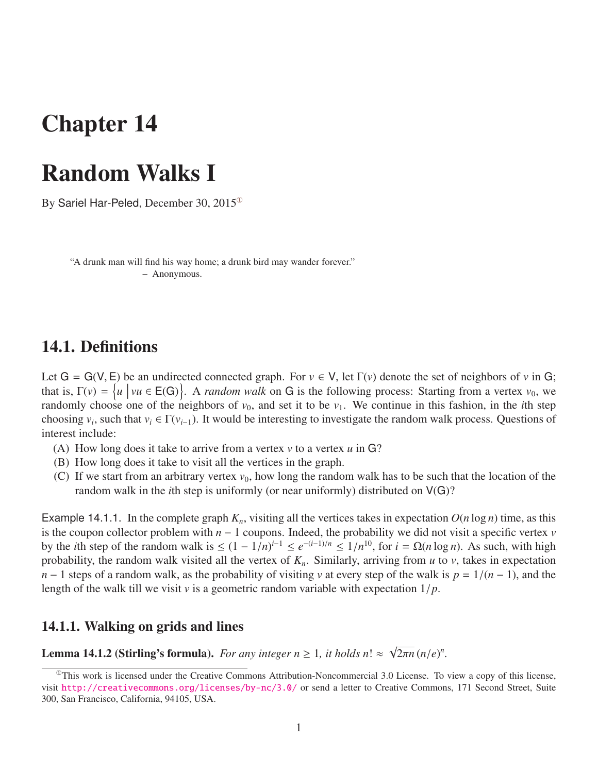# Chapter 14

## Random Walks I

By Sariel Har-Peled, December 30, 2015<sup>®</sup>

"A drunk man will find his way home; a drunk bird may wander forever." – Anonymous.

## 14.1. Definitions

Let  $G = G(V, E)$  be an undirected connected graph. For  $v \in V$ , let  $\Gamma(v)$  denote the set of neighbors of *v* in G; that is,  $\Gamma(v) = \{u \mid vu \in E(G)\}\$ . A *random walk* on G is the following process: Starting from a vertex  $v_0$ , we randomly choose one of the neighbors of  $v_0$ , and set it to be  $v_1$ . We continue in this fashion, in the *i*th step choosing  $v_i$ , such that  $v_i \in \Gamma(v_{i-1})$ . It would be interesting to investigate the random walk process. Questions of interest include:

- (A) How long does it take to arrive from a vertex *v* to a vertex *u* in G?
- (B) How long does it take to visit all the vertices in the graph.
- (C) If we start from an arbitrary vertex  $v_0$ , how long the random walk has to be such that the location of the random walk in the *i*th step is uniformly (or near uniformly) distributed on  $V(G)$ ?

Example 14.1.1. In the complete graph  $K_n$ , visiting all the vertices takes in expectation  $O(n \log n)$  time, as this is the coupon collector problem with  $n - 1$  coupons. Indeed, the probability we did not visit a specific vertex  $\nu$ by the *i*th step of the random walk is ≤  $(1 - 1/n)^{i-1}$  ≤  $e^{-(i-1)/n}$  ≤  $1/n^{10}$ , for  $i = Ω(n \log n)$ . As such, with high probability the random walk visited all the vertex of K. Similarly arriving from *u* to *y* takes in probability, the random walk visited all the vertex of  $K_n$ . Similarly, arriving from  $u$  to  $v$ , takes in expectation *n* − 1 steps of a random walk, as the probability of visiting *v* at every step of the walk is  $p = 1/(n - 1)$ , and the length of the walk till we visit *<sup>v</sup>* is a geometric random variable with expectation 1/*p*.

### 14.1.1. Walking on grids and lines

**Lemma 14.1.2 (Stirling's formula).** *For any integer n*  $\geq$  1*, it holds n*!  $\approx$ √  $\overline{2\pi n}$   $(n/e)^n$ .

<span id="page-0-0"></span> $^{\circ}$ This work is licensed under the Creative Commons Attribution-Noncommercial 3.0 License. To view a copy of this license, visit <http://creativecommons.org/licenses/by-nc/3.0/> or send a letter to Creative Commons, 171 Second Street, Suite 300, San Francisco, California, 94105, USA.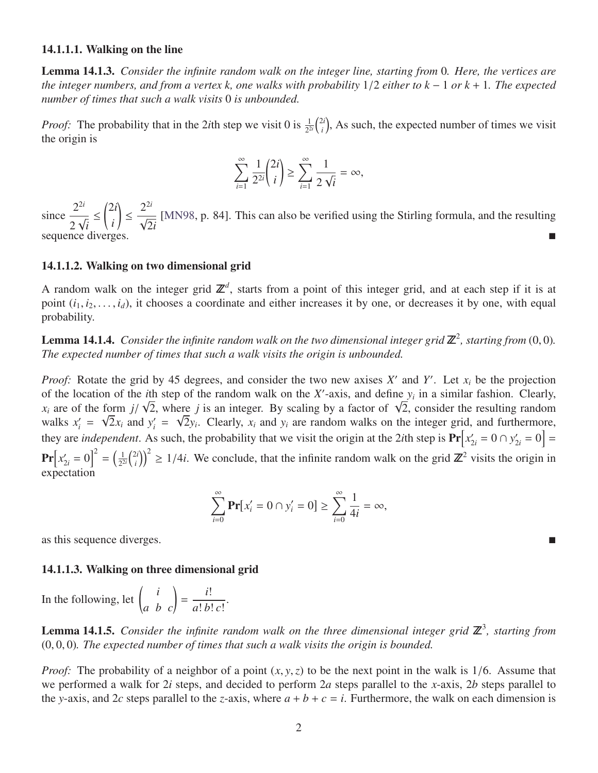#### 14.1.1.1. Walking on the line

Lemma 14.1.3. *Consider the infinite random walk on the integer line, starting from* 0*. Here, the vertices are the integer numbers, and from a vertex k, one walks with probability* <sup>1</sup>/<sup>2</sup> *either to k* <sup>−</sup> <sup>1</sup> *or k* <sup>+</sup> <sup>1</sup>*. The expected number of times that such a walk visits* 0 *is unbounded.*

*Proof:* The probability that in the 2*i*th step we visit 0 is  $\frac{1}{2^{2i}}\binom{2i}{i}$  $\binom{2i}{i}$ , As such, the expected number of times we visit the origin is

$$
\sum_{i=1}^{\infty} \frac{1}{2^{2i}} {2i \choose i} \ge \sum_{i=1}^{\infty} \frac{1}{2\sqrt{i}} = \infty,
$$

 $\text{since } \frac{2^{2i}}{2}$ 2 √ *i* ≤ 2*i i* ! ≤ 2 2*i*  $\frac{1}{\sqrt{2}}$ 2*i* [\[MN98,](#page-2-0) p. 84]. This can also be verified using the Stirling formula, and the resulting sequence diverges.

#### 14.1.1.2. Walking on two dimensional grid

A random walk on the integer grid  $\mathbb{Z}^d$ , starts from a point of this integer grid, and at each step if it is at point  $(i_1, i_2, \ldots, i_d)$ , it chooses a coordinate and either increases it by one, or decreases it by one, with equal probability.

**Lemma 14.1.4.** Consider the infinite random walk on the two dimensional integer grid  $\mathbb{Z}^2$ , starting from  $(0,0)$ .<br>The expected number of times that such a walk visits the origin is unbounded. *The expected number of times that such a walk visits the origin is unbounded.*

*Proof:* Rotate the grid by 45 degrees, and consider the two new axises  $X'$  and  $Y'$ . Let  $x_i$  be the projection of the location of the *i*th step of the random walk on the *X*'-axis, and define  $y_i$  in a similar fashion. Clearly,  $x_i$  are of the form  $j/\sqrt{2}r$ , and 2, on simular tashion. Clearly, form  $j/\sqrt{2}$ , where *j* is an integer. By scaling by a factor of  $\sqrt{2}$ , consider the resulting random walks  $x'_i = \sqrt{2}x_i$  and  $y'_i = \sqrt{2}y_i$ . Clearly,  $x_i$  and  $y_i$  are random walks on the integer grid, and furthermore, they are *independent*. As such, the probability that we visit the origin at the 2*i*th step is  $Pr[x'_{2i} = 0 \cap y'_{2i} = 0] =$  $Pr[x'_{2i} = 0]^{2} = (\frac{1}{2^{2}})$  $rac{1}{2^{2i}}\binom{2i}{i}$  $\binom{2i}{i}^2 \ge 1/4i$ . We conclude, that the infinite random walk on the grid  $\mathbb{Z}^2$  visits the origin in expectation

$$
\sum_{i=0}^{\infty} \Pr[x'_i = 0 \cap y'_i = 0] \ge \sum_{i=0}^{\infty} \frac{1}{4i} = \infty,
$$

as this sequence diverges.

#### 14.1.1.3. Walking on three dimensional grid

In the following, let  $\begin{pmatrix} i \\ a & b \end{pmatrix}$ = *i*! *a*! *b*! *c*! .

**Lemma 14.1.5.** Consider the infinite random walk on the three dimensional integer grid  $\mathbb{Z}^3$ , starting from (0, <sup>0</sup>, 0)*. The expected number of times that such a walk visits the origin is bounded.*

*Proof:* The probability of a neighbor of a point  $(x, y, z)$  to be the next point in the walk is 1/6. Assume that we performed a walk for 2*i* steps, and decided to perform 2*a* steps parallel to the *x*-axis, 2*b* steps parallel to the *y*-axis, and 2*c* steps parallel to the *z*-axis, where  $a + b + c = i$ . Furthermore, the walk on each dimension is